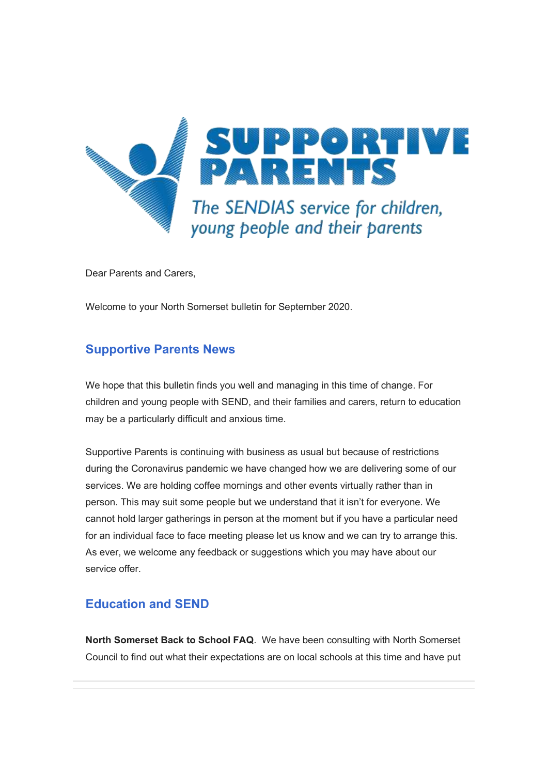

Dear Parents and Carers,

Welcome to your North Somerset bulletin for September 2020.

# **Supportive Parents News**

We hope that this bulletin finds you well and managing in this time of change. For children and young people with SEND, and their families and carers, return to education may be a particularly difficult and anxious time.

Supportive Parents is continuing with business as usual but because of restrictions during the Coronavirus pandemic we have changed how we are delivering some of our services. We are holding coffee mornings and other events virtually rather than in person. This may suit some people but we understand that it isn't for everyone. We cannot hold larger gatherings in person at the moment but if you have a particular need for an individual face to face meeting please let us know and we can try to arrange this. As ever, we welcome any feedback or suggestions which you may have about our service offer.

# **Education and SEND**

**North Somerset Back to School FAQ**. We have been consulting with North Somerset Council to find out what their expectations are on local schools at this time and have put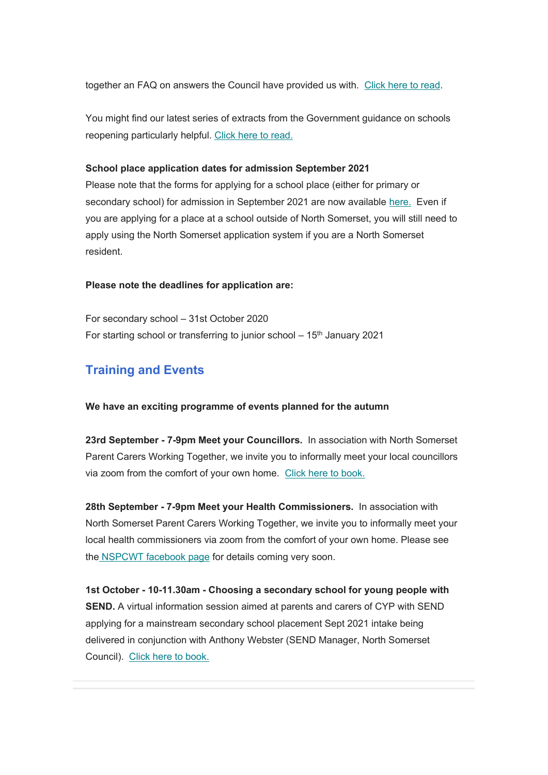together an FAQ on answers the Council have provided us with. [Click here to read.](https://www.supportiveparents.org.uk/north-somerset-back-to-school-faq/)

You might find our latest series of extracts from the Government guidance on schools reopening particularly helpful. [Click here to read.](https://www.supportiveparents.org.uk/government-guidance-on-schools-reopening-2/)

#### **School place application dates for admission September 2021**

Please note that the forms for applying for a school place (either for primary or secondary school) for admission in September 2021 are now available [here.](https://www.n-somerset.gov.uk/my-services/schools-learning/school-admissions/applying-school-place) Even if you are applying for a place at a school outside of North Somerset, you will still need to apply using the North Somerset application system if you are a North Somerset resident.

#### **Please note the deadlines for application are:**

For secondary school – 31st October 2020 For starting school or transferring to junior school  $-15<sup>th</sup>$  January 2021

## **Training and Events**

### **We have an exciting programme of events planned for the autumn**

**23rd September - 7-9pm Meet your Councillors.** In association with North Somerset Parent Carers Working Together, we invite you to informally meet your local councillors via zoom from the comfort of your own home. [Click here to book.](https://www.eventbrite.co.uk/e/meet-your-councillors-tickets-119448159661?aff=ebdssbonlinesearch)

**28th September - 7-9pm Meet your Health Commissioners.** In association with North Somerset Parent Carers Working Together, we invite you to informally meet your local health commissioners via zoom from the comfort of your own home. Please see the **NSPCWT** facebook page for details coming very soon.

**1st October - 10-11.30am - Choosing a secondary school for young people with SEND.** A virtual information session aimed at parents and carers of CYP with SEND applying for a mainstream secondary school placement Sept 2021 intake being delivered in conjunction with Anthony Webster (SEND Manager, North Somerset Council). [Click here to book.](https://www.eventbrite.co.uk/e/choosing-a-secondary-school-for-young-people-with-send-tickets-121243407295)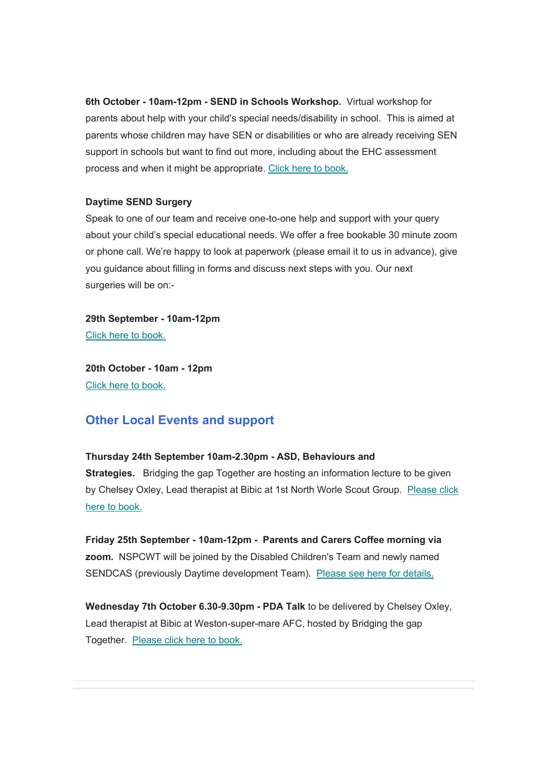**6th October - 10am-12pm - SEND in Schools Workshop.** Virtual workshop for parents about help with your child's special needs/disability in school. This is aimed at parents whose children may have SEN or disabilities or who are already receiving SEN support in schools but want to find out more, including about the EHC assessment process and when it might be appropriate. [Click here to book.](https://www.eventbrite.co.uk/e/send-in-schools-workshop-tuesday-6th-october-2020-tickets-121187933371)

### **Daytime SEND Surgery**

Speak to one of our team and receive one-to-one help and support with your query about your child's special educational needs. We offer a free bookable 30 minute zoom or phone call. We're happy to look at paperwork (please email it to us in advance), give you guidance about filling in forms and discuss next steps with you. Our next surgeries will be on:-

**29th September - 10am-12pm** [Click here to book](https://www.eventbrite.co.uk/e/north-somerset-send-surgery-29th-sept-2020-appointments-between-10am-12-tickets-115888322091)[.](https://sendsurgery.eventbrite.co.uk/)

**20th October - 10am - 12pm** [Click here to book.](https://www.eventbrite.co.uk/e/north-somerset-send-surgery-tuesday-20th-oct-2020-10am-12-tickets-121171710849)

### **Other Local Events and support**

### **Thursday 24th September 10am-2.30pm - ASD, Behaviours and**

**Strategies.** Bridging the gap Together are hosting an information lecture to be given by Chelsey Oxley, Lead therapist at Bibic at 1st North Worle Scout Group. [Please click](https://bridgingthegaptogether.org.uk/events.html)  [here to book.](https://bridgingthegaptogether.org.uk/events.html)

**Friday 25th September - 10am-12pm - Parents and Carers Coffee morning via zoom.** NSPCWT will be joined by the Disabled Children's Team and newly named SENDCAS (previously Daytime development Team). [Please see here for details.](https://www.facebook.com/nspcwt/photos/pcb.5099017113457900/5099014016791543)

**Wednesday 7th October 6.30-9.30pm - PDA Talk** to be delivered by Chelsey Oxley, Lead therapist at Bibic at Weston-super-mare AFC, hosted by Bridging the gap Together. [Please click here to book.](https://bridgingthegaptogether.org.uk/events.html)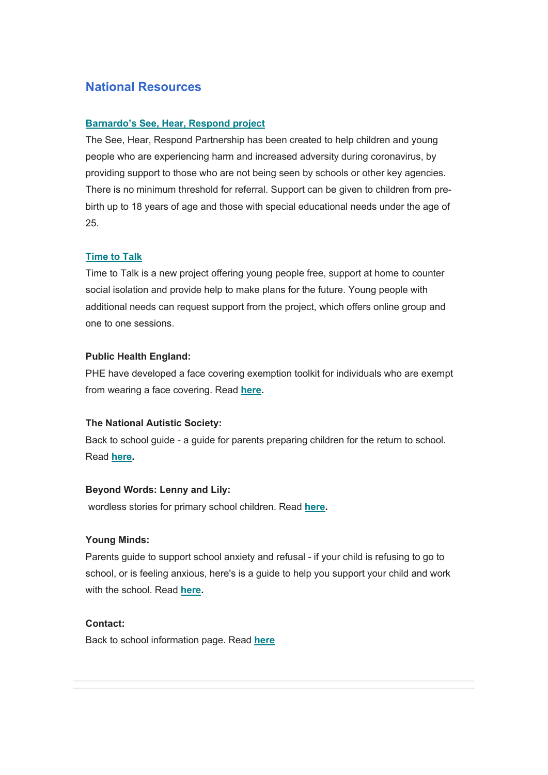## **National Resources**

### **[Barnardo's See, Hear, Respond project](https://www.barnardos.org.uk/see-hear-respond)**

The See, Hear, Respond Partnership has been created to help children and young people who are experiencing harm and increased adversity during coronavirus, by providing support to those who are not being seen by schools or other key agencies. There is no minimum threshold for referral. Support can be given to children from prebirth up to 18 years of age and those with special educational needs under the age of 25.

### **[Time to Talk](https://www.ndti.org.uk/our-work/areas-of-work/children-and-young-people3/time-to-talk/)**

Time to Talk is a new project offering young people free, support at home to counter social isolation and provide help to make plans for the future. Young people with additional needs can request support from the project, which offers online group and one to one sessions.

### **Public Health England:**

PHE have developed a face covering exemption toolkit for individuals who are exempt from wearing a face covering. Read **[here.](https://coronavirusresources.phe.gov.uk/stay-alert-to-stay-safe-/resources/face-coverings-exemptions-toolkit/)**

### **The National Autistic Society:**

Back to school guide - a guide for parents preparing children for the return to school. Read **[here.](https://www.autism.org.uk/advice-and-guidance/topics/coronavirus/education-and-schools/guidance/a-guide-for-parents)**

### **Beyond Words: Lenny and Lily:**

wordless stories for primary school children. Read **[here.](https://booksbeyondwords.co.uk/lenny-and-lily-childrens-stories)**

### **Young Minds:**

Parents guide to support school anxiety and refusal - if your child is refusing to go to school, or is feeling anxious, here's is a guide to help you support your child and work with the school. Read **[here.](https://youngminds.org.uk/find-help/for-parents/parents-guide-to-support-a-z/parents-guide-to-support-school-anxiety-and-refusal/)**

### **Contact:**

Back to school information page. Read **[here](https://contact.org.uk/advice-and-support/covid-19/back-to-school-advice-(england)/)**